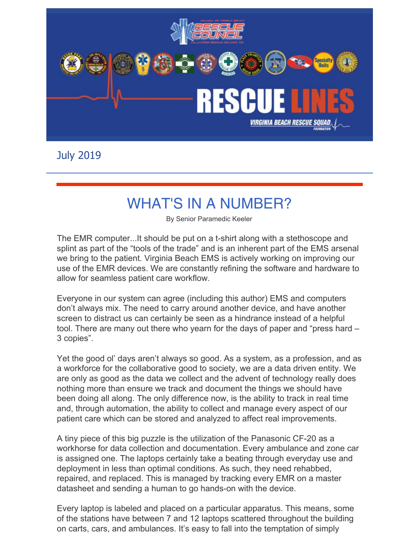

July 2019

## WHAT'S IN A NUMBER?

By Senior Paramedic Keeler

The EMR computer...It should be put on a t-shirt along with a stethoscope and splint as part of the "tools of the trade" and is an inherent part of the EMS arsenal we bring to the patient. Virginia Beach EMS is actively working on improving our use of the EMR devices. We are constantly refining the software and hardware to allow for seamless patient care workflow.

Everyone in our system can agree (including this author) EMS and computers don't always mix. The need to carry around another device, and have another screen to distract us can certainly be seen as a hindrance instead of a helpful tool. There are many out there who yearn for the days of paper and "press hard – 3 copies".

Yet the good ol' days aren't always so good. As a system, as a profession, and as a workforce for the collaborative good to society, we are a data driven entity. We are only as good as the data we collect and the advent of technology really does nothing more than ensure we track and document the things we should have been doing all along. The only difference now, is the ability to track in real time and, through automation, the ability to collect and manage every aspect of our patient care which can be stored and analyzed to affect real improvements.

A tiny piece of this big puzzle is the utilization of the Panasonic CF-20 as a workhorse for data collection and documentation. Every ambulance and zone car is assigned one. The laptops certainly take a beating through everyday use and deployment in less than optimal conditions. As such, they need rehabbed, repaired, and replaced. This is managed by tracking every EMR on a master datasheet and sending a human to go hands-on with the device.

Every laptop is labeled and placed on a particular apparatus. This means, some of the stations have between 7 and 12 laptops scattered throughout the building on carts, cars, and ambulances. It's easy to fall into the temptation of simply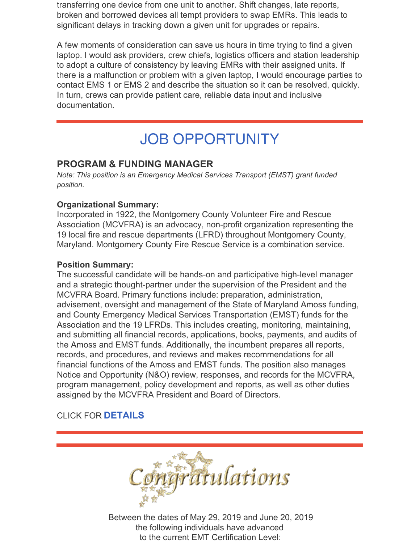transferring one device from one unit to another. Shift changes, late reports, broken and borrowed devices all tempt providers to swap EMRs. This leads to significant delays in tracking down a given unit for upgrades or repairs.

A few moments of consideration can save us hours in time trying to find a given laptop. I would ask providers, crew chiefs, logistics officers and station leadership to adopt a culture of consistency by leaving EMRs with their assigned units. If there is a malfunction or problem with a given laptop, I would encourage parties to contact EMS 1 or EMS 2 and describe the situation so it can be resolved, quickly. In turn, crews can provide patient care, reliable data input and inclusive documentation.

## JOB OPPORTUNITY

#### **PROGRAM & FUNDING MANAGER**

*Note: This position is an Emergency Medical Services Transport (EMST) grant funded position.*

#### **Organizational Summary:**

Incorporated in 1922, the Montgomery County Volunteer Fire and Rescue Association (MCVFRA) is an advocacy, non-profit organization representing the 19 local fire and rescue departments (LFRD) throughout Montgomery County, Maryland. Montgomery County Fire Rescue Service is a combination service.

#### **Position Summary:**

The successful candidate will be hands-on and participative high-level manager and a strategic thought-partner under the supervision of the President and the MCVFRA Board. Primary functions include: preparation, administration, advisement, oversight and management of the State of Maryland Amoss funding, and County Emergency Medical Services Transportation (EMST) funds for the Association and the 19 LFRDs. This includes creating, monitoring, maintaining, and submitting all financial records, applications, books, payments, and audits of the Amoss and EMST funds. Additionally, the incumbent prepares all reports, records, and procedures, and reviews and makes recommendations for all financial functions of the Amoss and EMST funds. The position also manages Notice and Opportunity (N&O) review, responses, and records for the MCVFRA, program management, policy development and reports, as well as other duties assigned by the MCVFRA President and Board of Directors.

#### CLICK FOR **[DETAILS](https://files.constantcontact.com/418a56c2701/9c0ccf01-11d0-4725-b910-dc7aa7877d3d.pdf)**



Between the dates of May 29, 2019 and June 20, 2019 the following individuals have advanced to the current EMT Certification Level: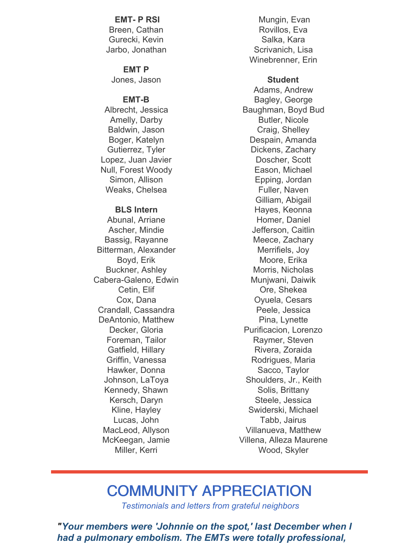#### **EMT- P RSI** Breen, Cathan Gurecki, Kevin Jarbo, Jonathan

**EMT P** Jones, Jason

#### **EMT-B**

Albrecht, Jessica Amelly, Darby Baldwin, Jason Boger, Katelyn Gutierrez, Tyler Lopez, Juan Javier Null, Forest Woody Simon, Allison Weaks, Chelsea

#### **BLS Intern**

Abunal, Arriane Ascher, Mindie Bassig, Rayanne Bitterman, Alexander Boyd, Erik Buckner, Ashley Cabera-Galeno, Edwin Cetin, Elif Cox, Dana Crandall, Cassandra DeAntonio, Matthew Decker, Gloria Foreman, Tailor Gatfield, Hillary Griffin, Vanessa Hawker, Donna Johnson, LaToya Kennedy, Shawn Kersch, Daryn Kline, Hayley Lucas, John MacLeod, Allyson McKeegan, Jamie Miller, Kerri

Mungin, Evan Rovillos, Eva Salka, Kara Scrivanich, Lisa Winebrenner, Erin

#### **Student**

Adams, Andrew Bagley, George Baughman, Boyd Bud Butler, Nicole Craig, Shelley Despain, Amanda Dickens, Zachary Doscher, Scott Eason, Michael Epping, Jordan Fuller, Naven Gilliam, Abigail Hayes, Keonna Homer, Daniel Jefferson, Caitlin Meece, Zachary Merrifiels, Joy Moore, Erika Morris, Nicholas Munjwani, Daiwik Ore, Shekea Oyuela, Cesars Peele, Jessica Pina, Lynette Purificacion, Lorenzo Raymer, Steven Rivera, Zoraida Rodrigues, Maria Sacco, Taylor Shoulders, Jr., Keith Solis, Brittany Steele, Jessica Swiderski, Michael Tabb, Jairus Villanueva, Matthew Villena, Alleza Maurene Wood, Skyler

### COMMUNITY APPRECIATION

*Testimonials and letters from grateful neighbors*

*"Your members were 'Johnnie on the spot,' last December when I had a pulmonary embolism. The EMTs were totally professional,*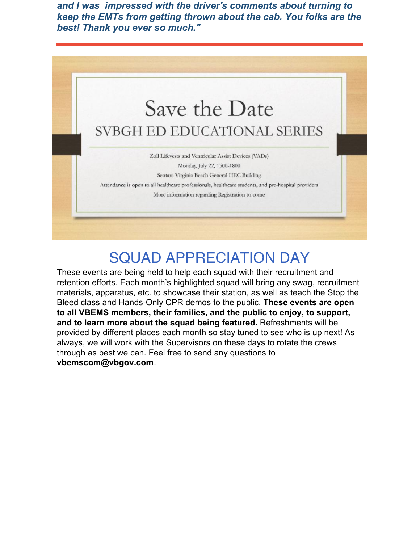*and I was impressed with the driver's comments about turning to keep the EMTs from getting thrown about the cab. You folks are the best! Thank you ever so much."*



## SQUAD APPRECIATION DAY

These events are being held to help each squad with their recruitment and retention efforts. Each month's highlighted squad will bring any swag, recruitment materials, apparatus, etc. to showcase their station, as well as teach the Stop the Bleed class and Hands-Only CPR demos to the public. **These events are open to all VBEMS members, their families, and the public to enjoy, to support, and to learn more about the squad being featured.** Refreshments will be provided by different places each month so stay tuned to see who is up next! As always, we will work with the Supervisors on these days to rotate the crews through as best we can. Feel free to send any questions to **[vbemscom@vbgov.com](mailto:vbemscom@vbgov.com)**.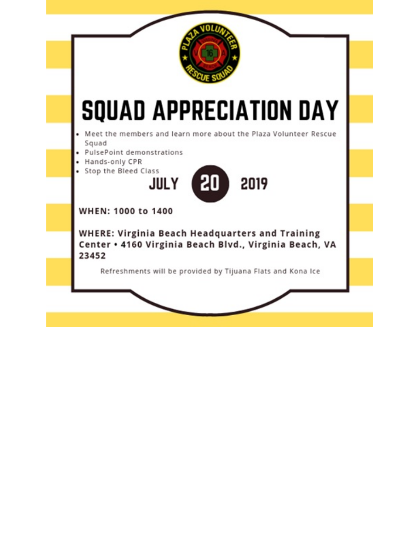

## **SQUAD APPRECIATION DAY**

Meet the members and learn more about the Plaza Volunteer Rescue Squad

- · PulsePoint demonstrations
- · Hands-only CPR
- · Stop the Bleed Class



WHEN: 1000 to 1400

**WHERE: Virginia Beach Headquarters and Training** Center . 4160 Virginia Beach Blvd., Virginia Beach, VA 23452

Refreshments will be provided by Tijuana Flats and Kona Ice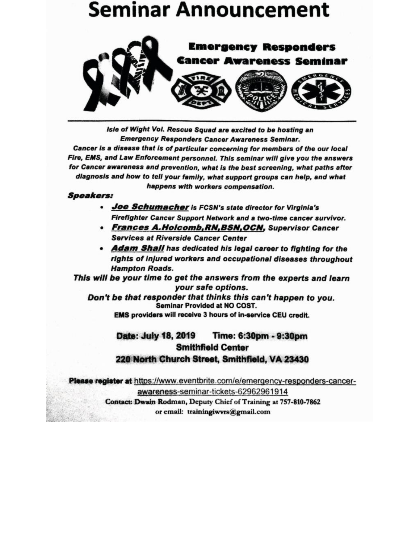## **Seminar Announcement**



Isle of Wight Vol. Rescue Squad are excited to be hosting an **Emergency Responders Cancer Awareness Seminar.** Cancer is a disease that is of particular concerning for members of the our local Fire, EMS, and Law Enforcement personnel. This seminar will give you the answers for Cancer awareness and prevention, what is the best screening, what paths after diagnosis and how to tell your family, what support groups can help, and what happens with workers compensation.

#### **Speakers:**

- . Joe Schumacher is FCSN's state director for Virginia's Firefighter Cancer Support Network and a two-time cancer survivor.
- Frances A.Holcomb, RN, BSN, OCN, Supervisor Cancer **Services at Riverside Cancer Center**
- Adam Shall has dedicated his legal career to fighting for the rights of injured workers and occupational diseases throughout **Hampton Roads.**

This will be your time to get the answers from the experts and learn your safe options.

Don't be that responder that thinks this can't happen to you. Seminar Provided at NO COST.

EMS providers will receive 3 hours of in-service CEU credit.

#### Date: July 18, 2019 Time: 6:30pm - 9:30pm **Smithfield Center** 220 North Church Street, Smithfield, VA 23430

Please register at https://www.eventbrite.com/e/emergency-responders-cancer-

awareness-seminar-tickets-62962961914 Contact: Dwain Rodman, Deputy Chief of Training at 757-810-7862 or email: trainingiwvrs@gmail.com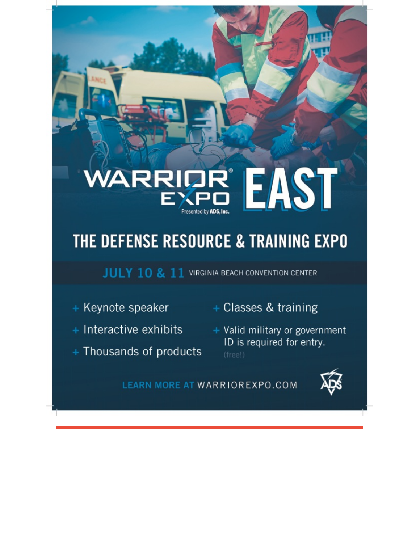# **REAST**

## THE DEFENSE RESOURCE & TRAINING EXPO

JULY 10 & 11 VIRGINIA BEACH CONVENTION CENTER

- 
- + Interactive exhibits
- + Thousands of products
- + Keynote speaker + Classes & training
	- + Valid military or government ID is required for entry.

LEARN MORE AT WARRIOREXPO.COM

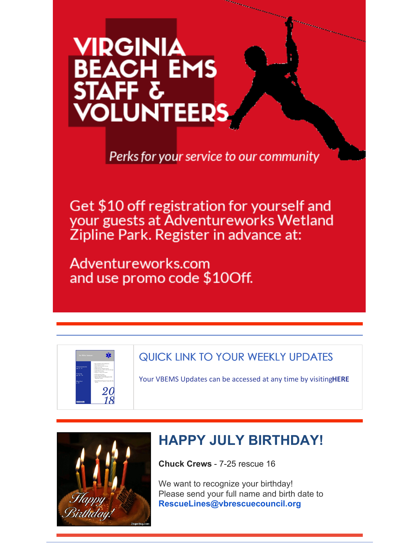# **VIRGINIA** BEACH EMS **VOLUNTEERS**

Perks for your service to our community

Get \$10 off registration for yourself and your guests at Adventureworks Wetland Zipline Park. Register in advance at:

Adventureworks.com and use promo code \$10Off.



#### QUICK LINK TO YOUR WEEKLY UPDATES

Your VBEMS Updates can be accessed at any time by visiting**[HERE](https://www.vbems.com/providers/newsletter/)**



## **HAPPY JULY BIRTHDAY!**

**Chuck Crews** - 7-25 rescue 16

We want to recognize your birthday! Please send your full name and birth date to **[RescueLines@vbrescuecouncil.org](mailto:RescueLines@vbrescuecouncil.org)**